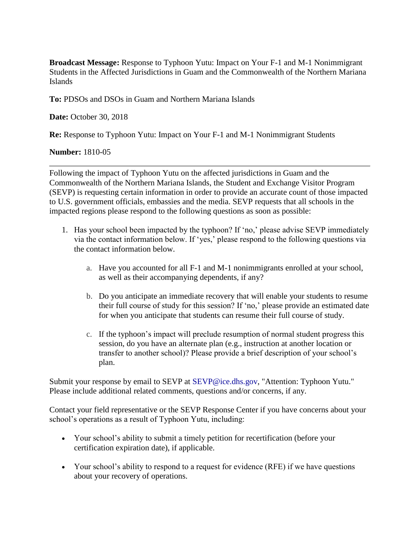**Broadcast Message:** Response to Typhoon Yutu: Impact on Your F-1 and M-1 Nonimmigrant Students in the Affected Jurisdictions in Guam and the Commonwealth of the Northern Mariana Islands

**To:** PDSOs and DSOs in Guam and Northern Mariana Islands

**Date:** October 30, 2018

**Re:** Response to Typhoon Yutu: Impact on Your F-1 and M-1 Nonimmigrant Students

## **Number:** 1810-05

Following the impact of Typhoon Yutu on the affected jurisdictions in Guam and the Commonwealth of the Northern Mariana Islands, the Student and Exchange Visitor Program (SEVP) is requesting certain information in order to provide an accurate count of those impacted to U.S. government officials, embassies and the media. SEVP requests that all schools in the impacted regions please respond to the following questions as soon as possible:

- 1. Has your school been impacted by the typhoon? If 'no,' please advise SEVP immediately via the contact information below. If 'yes,' please respond to the following questions via the contact information below.
	- a. Have you accounted for all F-1 and M-1 nonimmigrants enrolled at your school, as well as their accompanying dependents, if any?
	- b. Do you anticipate an immediate recovery that will enable your students to resume their full course of study for this session? If 'no,' please provide an estimated date for when you anticipate that students can resume their full course of study.
	- c. If the typhoon's impact will preclude resumption of normal student progress this session, do you have an alternate plan (e.g., instruction at another location or transfer to another school)? Please provide a brief description of your school's plan.

Submit your response by email to SEVP at [SEVP@ice.dhs.gov,](mailto:SESEVP@ice.dhs.gov) "Attention: Typhoon Yutu." Please include additional related comments, questions and/or concerns, if any.

Contact your field representative or the SEVP Response Center if you have concerns about your school's operations as a result of Typhoon Yutu, including:

- Your school's ability to submit a timely petition for recertification (before your certification expiration date), if applicable.
- Your school's ability to respond to a request for evidence (RFE) if we have questions about your recovery of operations.